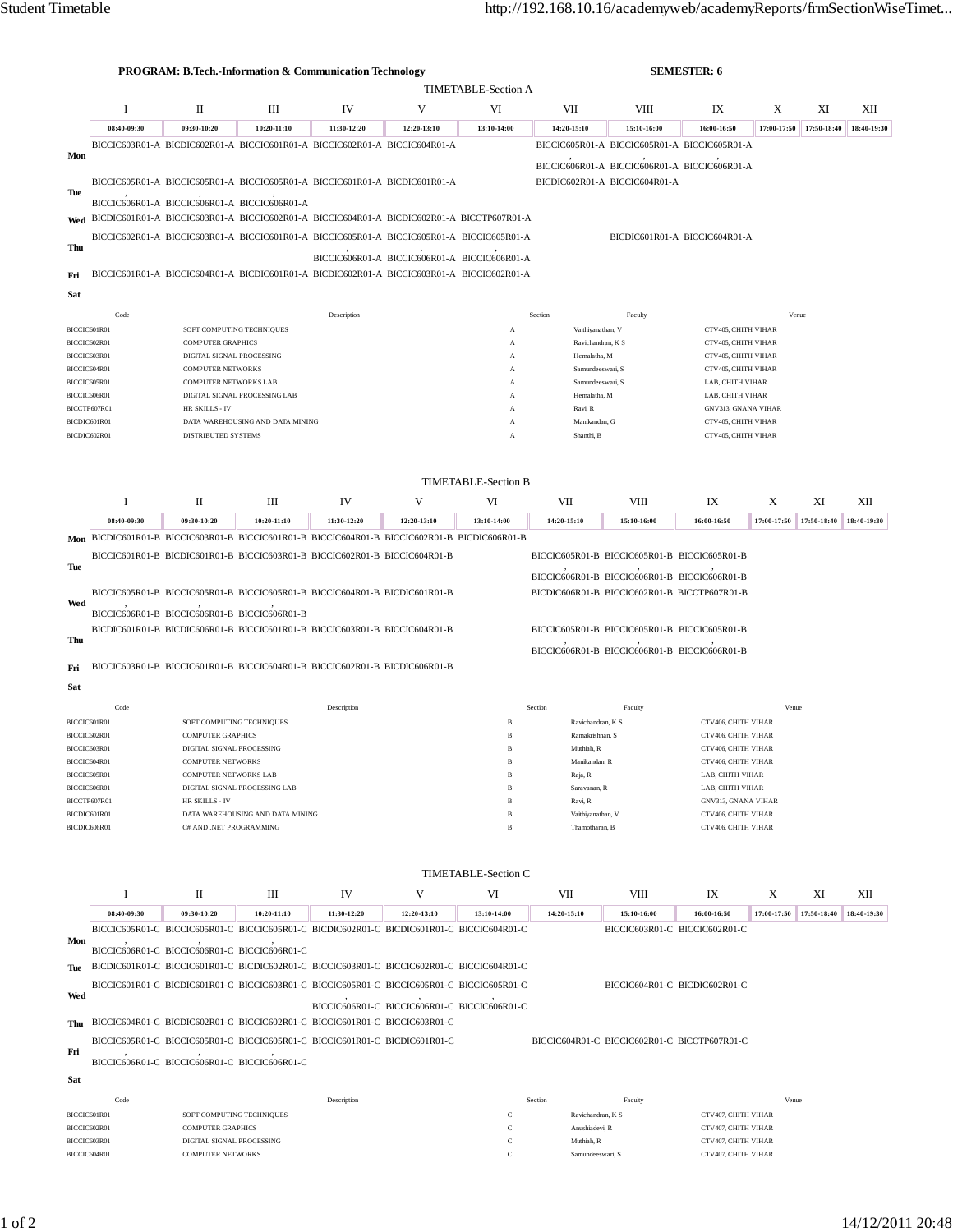|                              |                                               |                                                          | <b>PROGRAM: B.Tech.-Information &amp; Communication Technology</b>                                                                            |                                              | <b>SEMESTER: 6</b>                           |                            |                                  |                                              |                                            |                                            |             |             |
|------------------------------|-----------------------------------------------|----------------------------------------------------------|-----------------------------------------------------------------------------------------------------------------------------------------------|----------------------------------------------|----------------------------------------------|----------------------------|----------------------------------|----------------------------------------------|--------------------------------------------|--------------------------------------------|-------------|-------------|
|                              | <b>TIMETABLE-Section A</b>                    |                                                          |                                                                                                                                               |                                              |                                              |                            |                                  |                                              |                                            |                                            |             |             |
|                              | 1                                             | П                                                        | Ш                                                                                                                                             | IV                                           | V                                            | VI                         | VII                              | VIII                                         | IX                                         | X                                          | XI          | XІІ         |
|                              | 08:40-09:30                                   | 09:30-10:20                                              | 10:20-11:10                                                                                                                                   | 11:30-12:20                                  | 12:20-13:10                                  | 13:10-14:00                | 14:20-15:10                      | 15:10-16:00                                  | 16:00-16:50                                | 17:00-17:50                                | 17:50-18:40 | 18:40-19:30 |
| Mon                          |                                               |                                                          | BICCIC603R01-A BICDIC602R01-A BICCIC601R01-A BICCIC602R01-A BICCIC604R01-A                                                                    |                                              |                                              |                            |                                  | BICCIC605R01-A BICCIC605R01-A BICCIC605R01-A |                                            |                                            |             |             |
|                              |                                               |                                                          |                                                                                                                                               |                                              |                                              |                            |                                  | BICCIC606R01-A BICCIC606R01-A BICCIC606R01-A |                                            |                                            |             |             |
| Tue                          |                                               |                                                          | BICCIC605R01-A BICCIC605R01-A BICCIC605R01-A BICCIC601R01-A BICDIC601R01-A                                                                    |                                              |                                              |                            |                                  | BICDIC602R01-A BICCIC604R01-A                |                                            |                                            |             |             |
|                              |                                               |                                                          | BICCIC606R01-A BICCIC606R01-A BICCIC606R01-A<br>Wed BICDIC601R01-A BICCIC603R01-A BICCIC602R01-A BICCIC604R01-A BICDIC602R01-A BICCTP607R01-A |                                              |                                              |                            |                                  |                                              |                                            |                                            |             |             |
|                              |                                               |                                                          | BICCIC602R01-A BICCIC603R01-A BICCIC601R01-A BICCIC605R01-A BICCIC605R01-A BICCIC605R01-A                                                     |                                              |                                              |                            |                                  |                                              | BICDIC601R01-A BICCIC604R01-A              |                                            |             |             |
| Thu                          |                                               |                                                          |                                                                                                                                               |                                              | BICCIC606R01-A BICCIC606R01-A BICCIC606R01-A |                            |                                  |                                              |                                            |                                            |             |             |
| Fri                          |                                               |                                                          | BICCIC601R01-A BICCIC604R01-A BICDIC601R01-A BICDIC602R01-A BICCIC603R01-A BICCIC602R01-A                                                     |                                              |                                              |                            |                                  |                                              |                                            |                                            |             |             |
| Sat                          |                                               |                                                          |                                                                                                                                               |                                              |                                              |                            |                                  |                                              |                                            |                                            |             |             |
|                              |                                               |                                                          |                                                                                                                                               |                                              |                                              |                            |                                  |                                              |                                            |                                            |             |             |
| BICCIC601R01                 | Code                                          |                                                          | SOFT COMPUTING TECHNIQUES                                                                                                                     | Description                                  |                                              | A                          | Section<br>Vaithiyanathan, V     | Faculty                                      | CTV405, CHITH VIHAR                        | Venue                                      |             |             |
| BICCIC602R01                 |                                               | <b>COMPUTER GRAPHICS</b>                                 |                                                                                                                                               |                                              |                                              | A                          | Ravichandran, K S                |                                              | CTV405, CHITH VIHAR                        |                                            |             |             |
| BICCIC603R01                 |                                               | DIGITAL SIGNAL PROCESSING                                |                                                                                                                                               |                                              |                                              | A                          | Hemalatha, M<br>Samundeeswari, S |                                              | CTV405, CHITH VIHAR<br>CTV405, CHITH VIHAR |                                            |             |             |
| BICCIC604R01<br>BICCIC605R01 |                                               | <b>COMPUTER NETWORKS</b><br><b>COMPUTER NETWORKS LAB</b> |                                                                                                                                               |                                              |                                              | A<br>A                     |                                  | Samundeeswari, S                             |                                            | LAB, CHITH VIHAR                           |             |             |
|                              | DIGITAL SIGNAL PROCESSING LAB<br>BICCIC606R01 |                                                          |                                                                                                                                               |                                              |                                              | A                          | Hemalatha, M                     |                                              | LAB, CHITH VIHAR                           |                                            |             |             |
| BICCTP607R01                 |                                               | HR SKILLS - IV                                           |                                                                                                                                               |                                              |                                              | A                          | Ravi, R                          |                                              |                                            | GNV313, GNANA VIHAR                        |             |             |
| BICDIC601R01<br>BICDIC602R01 |                                               | DISTRIBUTED SYSTEMS                                      | DATA WAREHOUSING AND DATA MINING                                                                                                              |                                              |                                              | A<br>A                     | Manikandan, G<br>Shanthi, B      |                                              | CTV405, CHITH VIHAR<br>CTV405, CHITH VIHAR |                                            |             |             |
|                              |                                               |                                                          |                                                                                                                                               |                                              |                                              |                            |                                  |                                              |                                            |                                            |             |             |
|                              |                                               |                                                          |                                                                                                                                               |                                              |                                              |                            |                                  |                                              |                                            |                                            |             |             |
|                              |                                               |                                                          |                                                                                                                                               |                                              |                                              | <b>TIMETABLE-Section B</b> |                                  |                                              |                                            |                                            |             |             |
|                              | 1                                             | П                                                        | Ш                                                                                                                                             | IV                                           | V                                            | VI                         | VII                              | VIII                                         | IX                                         | X                                          | XI          | XІІ         |
| Mon                          | 08:40-09:30                                   | 09:30-10:20                                              | 10:20-11:10<br>BICDIC601R01-B BICCIC603R01-B BICCIC601R01-B BICCIC604R01-B BICCIC602R01-B BICDIC606R01-B                                      | 11:30-12:20                                  | 12:20-13:10                                  | 13:10-14:00                | 14:20-15:10                      | 15:10-16:00                                  | 16:00-16:50                                | 17:00-17:50                                | 17:50-18:40 | 18:40-19:30 |
|                              |                                               |                                                          | BICCIC601R01-B BICDIC601R01-B BICCIC603R01-B BICCIC602R01-B BICCIC604R01-B                                                                    |                                              |                                              |                            |                                  | BICCIC605R01-B BICCIC605R01-B BICCIC605R01-B |                                            |                                            |             |             |
| Tue                          |                                               |                                                          |                                                                                                                                               |                                              |                                              |                            |                                  | BICCIC606R01-B BICCIC606R01-B BICCIC606R01-B |                                            |                                            |             |             |
|                              |                                               |                                                          | BICCIC605R01-B BICCIC605R01-B BICCIC605R01-B BICCIC604R01-B BICDIC601R01-B                                                                    |                                              |                                              |                            |                                  | BICDIC606R01-B BICCIC602R01-B BICCTP607R01-B |                                            |                                            |             |             |
| Wed                          |                                               | BICCIC606R01-B BICCIC606R01-B BICCIC606R01-B             |                                                                                                                                               |                                              |                                              |                            |                                  |                                              |                                            |                                            |             |             |
|                              |                                               |                                                          | BICDIC601R01-B BICDIC606R01-B BICCIC601R01-B BICCIC603R01-B BICCIC604R01-B                                                                    |                                              |                                              |                            |                                  | BICCIC605R01-B BICCIC605R01-B BICCIC605R01-B |                                            |                                            |             |             |
| Thu                          |                                               |                                                          |                                                                                                                                               |                                              |                                              |                            |                                  | BICCIC606R01-B BICCIC606R01-B BICCIC606R01-B |                                            |                                            |             |             |
| Fri                          |                                               |                                                          | BICCIC603R01-B BICCIC601R01-B BICCIC604R01-B BICCIC602R01-B BICDIC606R01-B                                                                    |                                              |                                              |                            |                                  |                                              |                                            |                                            |             |             |
| Sat                          |                                               |                                                          |                                                                                                                                               |                                              |                                              |                            |                                  |                                              |                                            |                                            |             |             |
|                              | Code                                          |                                                          |                                                                                                                                               | Description                                  |                                              |                            | Section                          | Faculty                                      |                                            | Venue                                      |             |             |
| BICCIC601R01                 |                                               | SOFT COMPUTING TECHNIQUES                                |                                                                                                                                               |                                              |                                              | B                          | Ravichandran, K S                |                                              | CTV406, CHITH VIHAR                        |                                            |             |             |
| BICCIC602R01                 |                                               | <b>COMPUTER GRAPHICS</b>                                 |                                                                                                                                               |                                              |                                              | $\, {\bf B}$               | Ramakrishnan, S                  |                                              | CTV406, CHITH VIHAR                        |                                            |             |             |
| BICCIC603R01                 |                                               | DIGITAL SIGNAL PROCESSING<br><b>COMPUTER NETWORKS</b>    |                                                                                                                                               |                                              |                                              | $\, {\bf B}$<br>В          | Muthiah, R<br>Manikandan, R      |                                              | CTV406, CHITH VIHAR<br>CTV406, CHITH VIHAR |                                            |             |             |
| BICCIC604R01<br>BICCIC605R01 |                                               | <b>COMPUTER NETWORKS LAB</b>                             |                                                                                                                                               |                                              |                                              | $\, {\bf B}$               | Raja, R                          |                                              | LAB, CHITH VIHAR                           |                                            |             |             |
| BICCIC606R01                 |                                               |                                                          | DIGITAL SIGNAL PROCESSING LAB                                                                                                                 |                                              |                                              | В                          | Saravanan, R                     |                                              | LAB, CHITH VIHAR                           |                                            |             |             |
| BICCTP607R01<br>BICDIC601R01 |                                               | HR SKILLS - IV<br>DATA WAREHOUSING AND DATA MINING       |                                                                                                                                               |                                              |                                              | B<br>$\, {\bf B}$          | Ravi, R<br>Vaithiyanathan, V     |                                              | GNV313, GNANA VIHAR<br>CTV406, CHITH VIHAR |                                            |             |             |
| BICDIC606R01                 |                                               | C# AND .NET PROGRAMMING                                  |                                                                                                                                               |                                              |                                              | B                          | Thamotharan, B                   |                                              | CTV406, CHITH VIHAR                        |                                            |             |             |
|                              |                                               |                                                          |                                                                                                                                               |                                              |                                              |                            |                                  |                                              |                                            |                                            |             |             |
|                              |                                               |                                                          |                                                                                                                                               |                                              |                                              | <b>TIMETABLE-Section C</b> |                                  |                                              |                                            |                                            |             |             |
|                              | 1                                             | П                                                        | Ш                                                                                                                                             | IV                                           | V                                            | VI                         | VII                              | VIII                                         | IX                                         | Χ                                          | XI          | XІІ         |
|                              | 08:40-09:30                                   | 09:30-10:20                                              | 10:20-11:10                                                                                                                                   | 11:30-12:20                                  | 12:20-13:10                                  | 13:10-14:00                | 14:20-15:10                      | 15:10-16:00                                  | 16:00-16:50                                | 17:00-17:50 17:50-18:40                    |             | 18:40-19:30 |
| Mon                          |                                               |                                                          | BICCIC605R01-C BICCIC605R01-C BICCIC605R01-C BICDIC602R01-C BICDIC601R01-C BICCIC604R01-C                                                     |                                              |                                              |                            |                                  | BICCIC603R01-C BICCIC602R01-C                |                                            |                                            |             |             |
|                              |                                               |                                                          | BICCIC606R01-C BICCIC606R01-C BICCIC606R01-C                                                                                                  |                                              |                                              |                            |                                  |                                              |                                            |                                            |             |             |
| Tue                          |                                               |                                                          | BICDIC601R01-C BICCIC601R01-C BICDIC602R01-C BICCIC603R01-C BICCIC602R01-C BICCIC604R01-C                                                     |                                              |                                              |                            |                                  |                                              |                                            |                                            |             |             |
| Wed                          |                                               |                                                          | BICCIC601R01-C BICDIC601R01-C BICCIC603R01-C BICCIC605R01-C BICCIC605R01-C BICCIC605R01-C                                                     |                                              |                                              |                            |                                  | BICCIC604R01-C BICDIC602R01-C                |                                            |                                            |             |             |
|                              |                                               |                                                          |                                                                                                                                               | BICCIC606R01-C BICCIC606R01-C BICCIC606R01-C |                                              |                            |                                  |                                              |                                            |                                            |             |             |
| Thu                          |                                               |                                                          | BICCIC604R01-C BICDIC602R01-C BICCIC602R01-C BICCIC601R01-C BICCIC603R01-C                                                                    |                                              |                                              |                            |                                  |                                              |                                            |                                            |             |             |
| Fri                          |                                               |                                                          | BICCIC605R01-C BICCIC605R01-C BICCIC605R01-C BICCIC601R01-C BICDIC601R01-C                                                                    |                                              |                                              |                            |                                  | BICCIC604R01-C BICCIC602R01-C BICCTP607R01-C |                                            |                                            |             |             |
|                              |                                               |                                                          | BICCIC606R01-C BICCIC606R01-C BICCIC606R01-C                                                                                                  |                                              |                                              |                            |                                  |                                              |                                            |                                            |             |             |
| Sat                          |                                               |                                                          |                                                                                                                                               |                                              |                                              |                            |                                  |                                              |                                            |                                            |             |             |
|                              | Code                                          |                                                          |                                                                                                                                               | Description                                  |                                              |                            | Section                          | Faculty                                      |                                            | Venue                                      |             |             |
| BICCIC601R01<br>BICCIC602R01 |                                               | SOFT COMPUTING TECHNIQUES<br><b>COMPUTER GRAPHICS</b>    |                                                                                                                                               |                                              |                                              | C<br>$\mathbf C$           |                                  | Ravichandran, K S<br>Anushiadevi, R          |                                            | CTV407, CHITH VIHAR<br>CTV407, CHITH VIHAR |             |             |
| BICCIC603R01                 |                                               | DIGITAL SIGNAL PROCESSING                                |                                                                                                                                               |                                              |                                              | $\mathbf C$                | Muthiah, R                       |                                              |                                            | CTV407, CHITH VIHAR                        |             |             |
| BICCIC604R01                 |                                               | <b>COMPUTER NETWORKS</b>                                 |                                                                                                                                               |                                              |                                              | $\mathbf C$                | Samundeeswari, S                 |                                              | CTV407, CHITH VIHAR                        |                                            |             |             |
|                              |                                               |                                                          |                                                                                                                                               |                                              |                                              |                            |                                  |                                              |                                            |                                            |             |             |